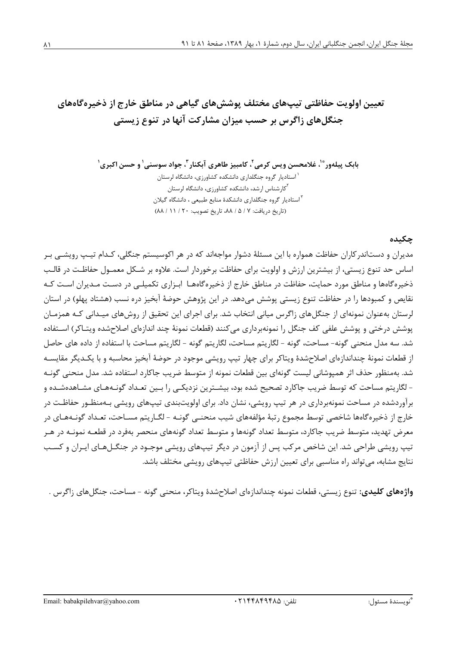تعیین اولویت حفاظتی تیپهای مختلف پوششهای گیاهی در مناطق خارج از ذخیرهگاههای جنگلهای زاگرس بر حسب میزان مشارکت آنها در تنوع زیستی

> بابک پیلهور ؓ ٰ، غلامحسن ویس کرمی ٗ، کامبیز طاهری آبکنار ؓ، جواد سوسنی ٰ و حسن اکبری ٰ <sup>۱</sup> استادیار گروه جنگلداری دانشکده کشاورزی، دانشگاه لرستان <sup>۲</sup>کارشناس ارشد، دانشکده کشاورزی، دانشگاه لرستان <sup>۲</sup>استادیار گروه جنگلداری دانشکدهٔ منابع طبیعی ، دانشگاه گیلان (تاريخ دريافت: ٧ / ۵ / ٨٨، تاريخ تصويب: ١٢٠ / ٨١ / ٨٨)

## چکیده

مدیران و دستاندر کاران حفاظت همواره با این مسئلهٔ دشوار مواجهاند که در هر اکوسیستم جنگلی، کـدام تیـپ رویشـی بـر اساس حد تنوع زیستی، از بیشترین ارزش و اولویت برای حفاظت برخوردار است. علاوه بر شـکل معمــول حفاظـت در قالـب ذخیره گاهها و مناطق مورد حمایت، حفاظت در مناطق خارج از ذخیرهگاههـا ابـزاری تکمیلـی در دسـت مـدیران اسـت کـه نقايص و كمبودها را در حفاظت تنوع زيستي پوشش ميدهد. در اين پژوهش حوضهٔ آبخيز دره نسب (هشتاد پهلو) در استان لرستان بهعنوان نمونهای از جنگلهای زاگرس میانی انتخاب شد. برای اجرای این تحقیق از روشهای میـدانی کـه همزمـان يوشش درختي و يوشش علفي كف جنگل را نمونهبرداري مي كنند (قطعات نمونهٔ چند اندازهاي اصلاحشده ويتـاكر) اســتفاده شد. سه مدل منحنی گونه- مساحت، گونه - لگاریتم مساحت، لگاریتم گونه - لگاریتم مساحت با استفاده از داده های حاصل از قطعات نمونهٔ چنداندازهای اصلاحشدهٔ ویتاکر برای چهار تیپ رویشی موجود در حوضهٔ آبخیز محاسبه و با یکـدیگر مقایسـه شد. بهمنظور حذف اثر همیوشانی لیست گونهای بین قطعات نمونه از متوسط ضریب جاکارد استفاده شد. مدل منحنی گونـه - لگاریتم مساحت که توسط ضریب جاکارد تصحیح شده بود، بیشـترین نزدیکـی را بـین تعـداد گونـههـای مشـاهدهشـده و برآوردشده در مساحت نمونهبرداری در هر تیپ رویشی، نشان داد. برای اولویتبندی تیپهای رویشی بـهمنظـور حفاظـت در خارج از ذخیرهگاهها شاخصی توسط مجموع رتبهٔ مؤلفههای شیب منحنبی گونـه - لگـاریتم مسـاحت، تعـداد گونـههـای در معرض تهدید، متوسط ضریب جاکارد، متوسط تعداد گونهها و متوسط تعداد گونههای منحصر بهفرد در قطعـه نمونــه در هــر تیپ رویشی طراحی شد. این شاخص مرکب پس از آزمون در دیگر تیپهای رویشی موجـود در جنگــلهـای ایــران و کســب نتایج مشابه، می تواند راه مناسبی برای تعیین ارزش حفاظتی تیپهای رویشی مختلف باشد.

**واژههای کلیدی:** تنوع زیستی، قطعات نمونه چنداندازهای اصلاحشدهٔ ویتاکر، منحنی گونه - مساحت، جنگلهای زاگرس .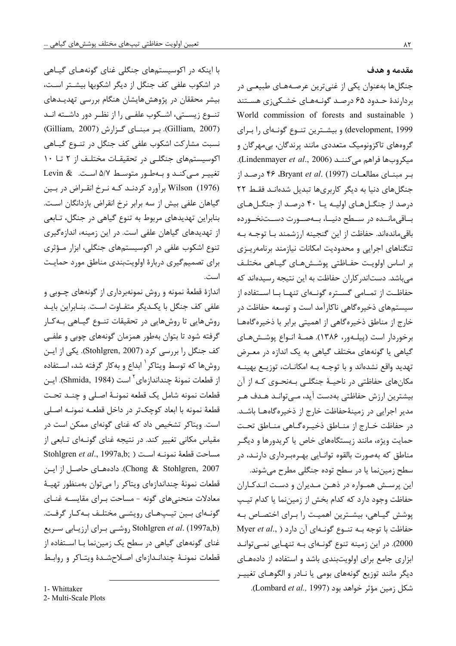مقدمه و هدف

جنگلها بهعنوان یکی از غنیترین عرصـههـای طبیعــ ،در بردارندهٔ حـدود ۶۵ درصـد گونـههـای خشـکی;ی هسـتند World commission of forests and sustainable ) development, 1999) و بیشـترین تنـوع گونـهای را بـرای گروههای تاکزونومیک متعددی مانند پرندگان، بیمهرگان و Alindenmayer et al., 2006). (Lindenmayer et al., 2006). بر مبنـای مطالعـات (1997) .Bryant et al. (1997) ۴۶ درصـد از جنگلهای دنیا به دیگر کاربریها تبدیل شدهانـد فقـط ٢٢ درصد از جنگلهای اولیه یا ۴۰ درصد از جنگلهای بــاقىمانــده در ســطح دنيــا، بــهصــورت دســتنخــورده باقی،ماندهاند. حفاظت از این گنجینه ارزشمند بـا توجـه بـه تنگناهای اجرایی و محدودیت امکانات نیازمند برنامهریـزی بر اساس اولويت حفـاظتى پوشـشهـاى گيـاهى مختلـف میباشد. دستاندر کاران حفاظت به این نتیجه رسیدهاند که حفاظت از تمــامی گســتره گونــهای تنهــا بــا اســتفاده از سیستمهای ذخیرهگاهی ناکارآمد است و توسعه حفاظت در خارج از مناطق ذخیرهگاهی از اهمیتی برابر با ذخیرهگاهها برخوردار است (پیلـهور، ۱۳۸۶). همـهٔ انـواع پوشـشهـای گیاهی یا گونههای مختلف گیاهی به یک اندازه در معرض تهديد واقع نشدهاند و با توجـه بـه امكانـات، توزيـع بهينــه مکانهای حفاظتی در ناحیـهٔ جنگلـی بـهنحـوی کـه از آن بیشترین ارزش حفاظتی بهدست آید، مےتوانـد هـدف هـر مدیر اجرایی در زمینهٔحفاظت خارج از ذخیرهگاهها باشـد. در حفاظت خــارج از منــاطق ذخيــره گــاهي منــاطق تحـت حمایت ویژه، مانند زیستگاههای خاص یا کریدورها و دیگـر مناطق که بهصورت بالقوه توانـايي بهـرهبـرداري دارنـد، در سطح زمیننما یا در سطح توده جنگلی مطرح میشوند. این پرسش همواره در ذهـن مـدیران و دسـت انـدكـاران حفاظت وجود دارد که کدام بخش از زمیننما یا کدام تیپ پوشش گیاهی، بیشترین اهمیت را برای اختصاص به Myer et al., ) دغاظت با توجه بـه تنـوع گونـهای آن دارد 2000). در این زمینه تنوع گونـهای بـه تنهـایی نمـیتوانـد ابزاری جامع برای اولویتبندی باشد و استفاده از دادههای دیگر مانند توزیع گونههای بومی یا نـادر و الگوهـای تغییـر

شكل زمين مؤثر خواهد بود (Lombard et al., 1997).

با اینکه در اکوسیستمهای جنگلی غنای گونههـای گیـاهی در اشکوب علفی کف جنگل از دیگر اشکوبها بیشتر است، بیشر محققان در پژوهش۵مایشان هنگام بررسی تهدیـدهای تنــوع زیســتی، اشــکوب علفــی را از نظــر دور داشــته انــد (Gilliam, 2007). بر مبنای گزارش (Gilliam, 2007) نسبت مشارکت اشکوب علفی کف جنگل در تنـوع گیـاهی اکوسیستمهای جنگلی در تحقیقـات مختلـف از ۲ تـا ۱۰ تغییر مے کند و بهطور متوسط ۵/۷ است. Levin & Wilson (1976) برآورد کردنـد کـه نـرخ انقـراض در بـين گیاهان علفی بیش از سه برابر نرخ انقراض بازدانگان است. بنابراین تهدیدهای مربوط به تنوع گیاهی در جنگل، تـابعی از تهدیدهای گیاهان علفی است. در این زمینه، اندازهگیری تنوع اشکوب علفی در اکوسیستمهای جنگلی، ابزار مـؤثری برای تصمیم گیری دربارهٔ اولویتبندی مناطق مورد حمایت است.

اندازهٔ قطعهٔ نمونه و روش نمونهبرداری از گونههای چــوبی و علفی کف جنگل با یک دیگر متفـاوت اسـت. بنــابراین بایــد روشهایی تا روشهایی در تحقیقات تنوع گیاهی به کار گرفته شود تا بتوان بهطور همزمان گونههای چوبی و علفی كف جنگل را بررسي كرد (Stohlgren, 2007). يكي از ايـن روشها که توسط ویتاکر <sup>۱</sup> ابداع و بهکار گرفته شد، اسـتفاده از قطعات نمونهٔ چنداندازهای<sup>۲</sup> است (Shmida, 1984). ایـن قطعات نمونه شامل يک قطعه نمونـهٔ اصـلى و چنـد تحـت قطعهٔ نمونه با ابعاد کوچکتر در داخل قطعــه نمونــه اصـلی است. ویتاکر تشخیص داد که غنای گونهای ممکن است در مقیاس مکانی تغییر کند. در نتیجه غنای گونـهای تـابعی از Stohlgren et al., 1997a,b; ) مساحت قطعة نمونـه اسـت Chong & Stohlgren, 2007). دادههـای حاصـل از ایـن قطعات نمونهٔ چنداندازهای ویتاکر را می توان بهمنظور تهیـهٔ معادلات منحنیهای گونه - مساحت بـرای مقایسـه غنـای گونـهای بـین تیـپهـای رویشـی مختلـف بـهکـار گرفـت. روشي براي ارزيابي سريع Stohlgren et al. (1997a,b) غنای گونههای گیاهی در سطح یک زمیننما بـا اسـتفاده از قطعات نمونـهٔ چندانـدازهای اصـلاحشـدهٔ ویتـاکر و روابـط

<sup>1-</sup> Whittaker

<sup>2-</sup> Multi-Scale Plots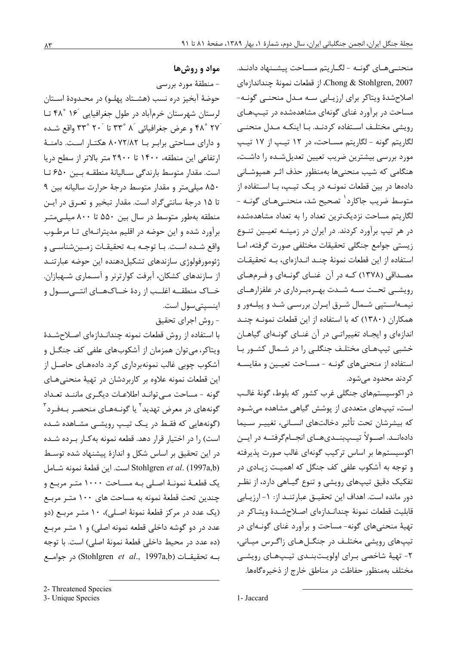مواد و روشها

- منطقهٔ مورد بررسی حوضهٔ آبخیز دره نسب (هشـتاد پهلـو) در محـدودهٔ اسـتان لرستان شهرستان خرمآباد در طول جغرافیایی ۱۶<sup>٬</sup> ۴۸<sup>°</sup> تا ٢٧° ۴۸° و عرض جغرافيائي َ ٨ °٣٣ تا َ ٢٠ °٣٣ واقع شـده و دارای مساحتی برابر با ۸۰۷۲/۸۲ هکتار است. دامنهٔ ارتفاعی این منطقه، ۱۴۰۰ تا ۲۹۰۰ متر بالاتر از سطح دریا است. مقدار متوسط بارندگی سـالیانهٔ منطقـه بـین ۶۵۰ تـا ۸۵۰ میلی متر و مقدار متوسط درجهٔ حرارت سالیانه بین ۹ تا ۱۵ درجهٔ سانتیگراد است. مقدار تبخیر و تعـرق در ایـن منطقه بهطور متوسط در سال بین ۵۵۰ تا ۸۰۰ میلے متـر برآورد شده و این حوضه در اقلیم مدیترانـهای تـا مرطـوب واقع شـده اسـت. بـا توجـه بـه تحقيقـات زمـينشناسـي و ژئومورفولوژی سازندهای تشکیلدهنده این حوضه عبارتنـد از سازندهای کشکان، آبرفت کوارترنر و آسـماری شـهبازان. خــاک منطقــه اغلــب از ردهٔ خــاکـهــای انتــی ســول و اينسيتي سول است. - روش اجرای تحقیق

با استفاده از روش قطعات نمونه چندانـدازهای اصـلاحشـدهٔ ویتاکر، می توان همزمان از آشکوبهای علفی کف جنگــل و آشکوب چوبی غالب نمونهبرداری کرد. دادههــای حاصــل از این قطعات نمونه علاوه بر کاربردشان در تهیهٔ منحنیهای گونه - مساحت مے توانـد اطلاعـات دیگـری ماننـد تعـداد گونههای در معرض تهدید<sup>۲</sup> یا گونـههـای منحصـر بـهفـرد<sup>۳</sup> (گونههایی که فقـط در یـک تیـپ رویشـی مشـاهده شـده است) را در اختیار قرار دهد. قطعه نمونه به کـار بـرده شـده در این تحقیق بر اساس شکل و اندازهٔ پیشنهاد شده توسط است. این قطعهٔ نمونه شـامل Stohlgren et al. (1997a,b) یک قطعـهٔ نمونـهٔ اصـلی بـه مسـاحت ۱۰۰۰ متـر مربـع و چندین تحت قطعهٔ نمونه به مساحت های ۱۰۰ متـر مربـع (یک عدد در مرکز قطعهٔ نمونهٔ اصـلی)، ۱۰ متـر مربـع (دو عدد در دو گوشه داخلی قطعه نمونه اصلی) و ۱ متـر مربـع (ده عدد در محيط داخلي قطعهٔ نمونهٔ اصلي) است. با توجه به تحقیقات (Stohlgren et al., 1997a,b) در جوامع

منحنــیهــای گونــه - لگــاریتم مســاحت پیشــنهاد دادنــد. Chong & Stohlgren, 2007، از قطعات نمونهٔ چنداندازهای اصلاح شدهٔ ویتاکر برای ارزیـابی سـه مـدل منحنـی گونـه-مساحت در برآورد غنای گونهای مشاهدهشده در تیپهای رویشی مختلـف اسـتفاده کردنـد. بـا اینکـه مـدل منحنـی لگاريتم گونه - لگاريتم مسـاحت، در ١٢ تيـپ از ١٧ تيـپ مورد بررسی بیشترین ضریب تعیین تعدیلشده را داشت، هنگامی که شیب منحنیها بهمنظور حذف اثـر همیوشـانی دادهها در بین قطعات نمونـه در یـک تیـپ، بـا اسـتفاده از متوسط ضریب جاکارد<sup>٬</sup> تصحیح شد، منحنـیٖهـای گونـه -لگاریتم مساحت نزدیکترین تعداد را به تعداد مشاهدهشده در هر تیپ برآورد کردند. در ایران در زمینــه تعیــین تنــوع زيستي جوامع جنگلي تحقيقات مختلفي صورت گرفته، امـا استفاده از این قطعات نمونهٔ چنـد انـدازهای، بـه تحقیقـات مصـداقی (۱۳۷۸) کـه در آن غنـای گونـهای و فـرمهـای رویشــی تحــت ســه شــدت بهـرهبـرداری در علفزارهـای نیمهاستپی شـمال شـرق ایـران بررسـی شـد و پیلـهور و همکاران (۱۳۸۰) که با استفاده از این قطعات نمونـه چنـد اندازهای و ایجـاد تغییراتـی در آن غنـای گونـهای گیاهـان خشبی تیپهای مختلف جنگلی را در شـمال کشـور بـا استفاده از منحنیهای گونـه - مسـاحت تعیـین و مقایسـه کردند محدود مے شود.

در اکوسیستمهای جنگلی غرب کشور که بلوط، گونهٔ غالب است، تیپهای متعددی از پوشش گیاهی مشاهده میشود كه بيشرشان تحت تأثير دخالتهاي انســاني، تغييـر ســيما دادهانــد. اصــولاً تيـــپبنــديهــاي انجــامگرفتــه در ايــن اکوسیستمها بر اساس ترکیب گونهای غالب صورت پذیرفته و توجه به آشکوب علفی کف جنگل که اهمیـت زیـادی در تفکیک دقیق تیپهای رویشی و تنوع گیـاهی دارد، از نظـر دور مانده است. اهداف این تحقیـق عبارتنـد از: ١- ارزیـابی قابلیت قطعات نمونهٔ چندانـدازهای اصـلاحشـدهٔ ویتـاکر در تهیهٔ منحنیهای گونه- مساحت و برآورد غنای گونـهای در تیپهای رویشی مختلف در جنگـلهـای زاگـرس میـانی، ۲- تهيهٔ شاخصي بـراي اولويـتبنـدي تيـپهـاي رويشـي مختلف بهمنظور حفاظت در مناطق خارج از ذخيره گاهها.

<sup>2-</sup> Threatened Species

<sup>3-</sup> Unique Species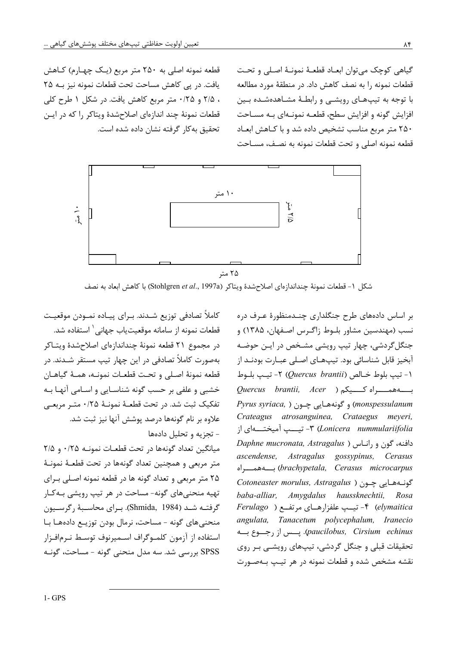قطعه نمونه اصلی به ۲۵۰ متر مربع (یک چهارم) کاهش یافت. در پی کاهش مساحت تحت قطعات نمونه نیز بـه ۲۵ ، ٢/۵ و ٢/٥٠ متر مربع كاهش يافت. در شكل ١ طرح كلي قطعات نمونهٔ چند اندازهای اصلاحشدهٔ ویتاکر را که در ایـن تحقیق به کار گرفته نشان داده شده است.

گیاهی کوچک میتوان ابعـاد قطعـهٔ نمونـهٔ اصـلی و تحـت قطعات نمونه را به نصف كاهش داد. در منطقهٔ مورد مطالعه با توجه به تیپهای رویشـی و رابطـهٔ مشـاهدهشـده بـین افزایش گونه و افزایش سطح، قطعـه نمونـهای بـه مسـاحت ۲۵۰ متر مربع مناسب تشخیص داده شد و با کـاهش ابعـاد قطعه نمونه اصلى وتحت قطعات نمونه به نصف، مسـاحت



شكل ١- قطعات نمونهٔ چنداندازهاي اصلاحشدهٔ ويتاكر (Stohlgren et al., 1997a) با كاهش ابعاد به نصف

كاملاً تصادفي توزيع شـدند. بـراي پيـاده نمــودن موقعيـت قطعات نمونه از سامانه موقعيتياب جهاني` استفاده شد. در مجموع ٢١ قطعه نمونهٔ چنداندازەای اصلاحشدهٔ ویتــاکر بهصورت کاملاً تصادفی در این چهار تیپ مستقر شــدند. در قطعه نمونهٔ اصلی و تحت قطعـات نمونـه، همـهٔ گیاهـان خشبي و علفي بر حسب گونه شناسـايي و اسـامي آنهـا بـه تفكيك ثبت شد. در تحت قطعـهٔ نمونـهٔ ۰/۲۵ متـر مربعـي علاوه بر نام گونهها درصد پوشش آنها نیز ثبت شد. - تجزیه و تحلیل دادهها میانگین تعداد گونهها در تحت قطعـات نمونـه ۲/۵ و ۲/۵ متر مربعي و همچنين تعداد گونهها در تحت قطعـهٔ نمونـهٔ ۲۵ متر مربعی و تعداد گونه ها در قطعه نمونه اصلی برای تهیه منحنیهای گونه- مساحت در هر تیپ رویشی بـهکـار گرفتـه شــد (Shmida, 1984). بـراي محاسـبهٔ رگرسـيون منحنیهای گونه - مساحت، نرمال بودن توزیـع دادههـا بـا استفاده از آزمون كلمـوگراف اسـميرنوف توسـط نـرمافـزار SPSS بررسی شد. سه مدل منحنی گونه - مساحت، گونـه

بر اساس دادههای طرح جنگلداری چنـدمنظورهٔ عـرف دره نسب (مهندسین مشاور بلـوط زاگـرس اصـفهان، ۱۳۸۵) و جنگل گردشی، چهار تیپ رویشی مشـخص در ایـن حوضـه آبخیز قابل شناسائی بود. تیپهـای اصـلی عبـارت بودنـد از ١- تيب بلوط خـالص (Quercus brantii) ٢- تيب بلـوط Quercus brantii, Acer ) و Quercus Pyrus syriaca, ) و گونههايي چـون ( Pyrus syriaca, Crateagus atrosanguinea, Crataegus meyeri, Lonicera nummulariifolia"- تیــــپ آمیختـــــهای از Daphne mucronata, Astragalus) ( رافنه، گون و رانباس ascendense, Astragalus gossypinus, Cerasus brachypetala, Cerasus microcarpus) بِـــــــــــواه Cotoneaster morulus, Astragalus ) گونـههايي چـون baba-alliar, Amygdalus haussknechtii, Rosa elymaitica) ۴- تیـب علفزارهـای مرتفـع ( Ferulago angulata, Tanacetum polycephalum, Iranecio .paucilobus, Cirsium echinus). پــس از رجـــوع بـــه تحقیقات قبلی و جنگل گردشی، تیپهای رویشـی بـر روی نقشه مشخص شده و قطعات نمونه در هر تیپ بـهصـورت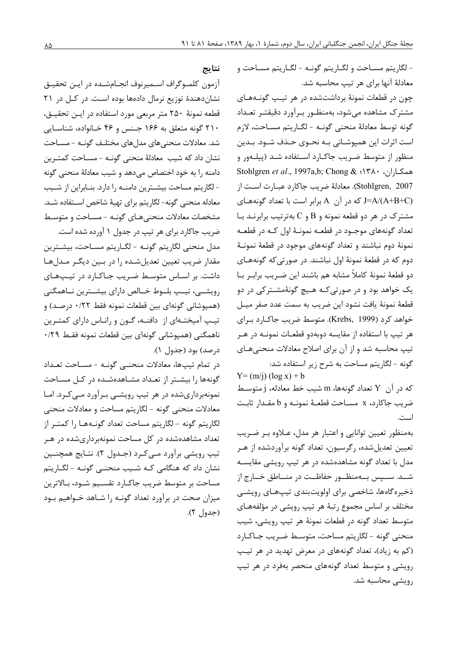- لگاريتم مسـاحت و لگــاريتم گونــه - لگــاريتم مسـاحت و معادلهٔ آنها برای هر تیپ محاسبه شد.

چون در قطعات نمونهٔ برداشتشده در هر تیپ گونـههـای مشترک مشاهده میشود، بهمنظور برآورد دقیقتـر تعـداد گونه توسط معادلهٔ منحنی گونـه - لگـاریتم مسـاحت، لازم است اثرات این همپوشـانی بـه نحـوی حـذف شـود. بـدین منظور از متوسط ضریب جاکـارد اسـتفاده شـد (پیلـهور و Stohlgren et al., 1997a,b; Chong & ۱۳۸۰ . Stohlgren, 2007). معادلهٔ ضریب جاکارد عبـارت اسـت از J=A/(A+B+C) که در آن A برابر است با تعداد گونههای مشترک در هر دو قطعه نمونه و B و C بهترتیب برابرنـد بـا تعداد گونههای موجـود در قطعـه نمونـهٔ اول کـه در قطعـه نمونهٔ دوم نباشند و تعداد گونههای موجود در قطعهٔ نمونـهٔ دوم که در قطعهٔ نمونهٔ اول نباشند. در صورتیکه گونههـای دو قطعهٔ نمونهٔ کاملاً مشابه هم باشند این ضـریب برابـر بـا یک خواهد بود و در صورتی کـه هـیچ گونهٔمشـتر کی در دو قطعهٔ نمونهٔ یافت نشود این ضریب به سمت عدد صفر میـل خواهد کرد (Krebs, 1999). متوسط ضریب جاکـارد بـرای هر تيپ با استفاده از مقايسه دوبهدو قطعـات نمونـه در هـر تیپ محاسبه شد و از آن برای اصلاح معادلات منحنیهـای گونه - لگاريتم مساحت به شرح زير استفاده شد:

 $Y = (m/i) (\log x) + b$ 

كه در آن Y تعداد گونهها، m شيب خط معادله، j متوسط ضريب جاكارد، x مسـاحت قطعــهٔ نمونــه و b مقـدار ثابـت است.

بهمنظور تعيين توانايي و اعتبار هر مدل، عــلاوه بـر ضـريب تعیین تعدیلشده، رگرسیون، تعداد گونه برآوردشده از هـر مدل با تعداد گونه مشاهدهشده در هر تیپ رویشی مقایسـه شــد. ســـپس بــهمنظــور حفاظــت در منـــاطق خــارج از ذخیره گاهها، شاخصی برای اولویتبندی تیپهـای رویشـی مختلف بر اساس مجموع رتبهٔ هر تیپ رویشی در مؤلفههـای متوسط تعداد گونه در قطعات نمونهٔ هر تیپ رویشی، شیب منحني گونه - لگاريتم مساحت، متوسط ضريب جـاكـارد (کم به زیاد)، تعداد گونههای در معرض تهدید در هر تیپ رویشی و متوسط تعداد گونههای منحصر بهفرد در هر تیپ رویشے محاسبه شد.

نتايج

آزمون كلمـوگراف اسـميرنوف انجـامشـده در ايـن تحقيـق نشان دهندهٔ توزیع نرمال دادهها بوده است. در کل در ۲۱ قطعه نمونهٔ ۲۵۰ متر مربعی مورد استفاده در ایـن تحقیـق، ۲۱۰ گونه متعلق به ۱۶۶ جـنس و ۴۶ خـانواده، شناسـایی شد. معادلات منحنی های مدل های مختلـف گونـه - مسـاحت نشان داد که شیب معادلهٔ منحنی گونـه -مسـاحت کمتـرین دامنه ,ا به خود اختصاص می دهد و شیب معادلهٔ منحنی گونه - لگاریتم مساحت بیشـترین دامنـه را دارد. بنـابراین از شـیب معادله منحنى گونه- لگاريتم براي تهيهٔ شاخص اسـتفاده شـد. مشخصات معادلات منحنى هياي گونيه - مسياحت و متوسيط ضریب جاکارد برای هر تیپ در جدول ۱ آورده شده است.

مدل منحني لگاريتم گونـه - لگــاريتم مســاحت، بيشــترين مقدار ضریب تعیین تعدیلشده را در بمین دیگر مدلها داشت. بر اسـاس متوسـط ضـريب جـاكـارد در تيـپھـاى رویشـے، تیـب بلــوط خــالص دارای بیشــترین نــاهمگنی (همیوشانی گونهای بین قطعات نمونه فقط ۰/۲۲ درصد) و تیپ آمیختـهای از دافنـه، گـون و رانـاس دارای کمتـرین ناهمگنی (همپوشانی گونهای بین قطعات نمونه فقـط ۲۹/۰ درصد) بود (جدول ۱).

در تمام تيبها، معادلات منحنبي كونـه - مسـاحت تعـداد گونهها را بیشتر از تعداد مشاهدهشده در کل مساحت نمونهبرداریشده در هر تیپ رویشـی بـرآورد مـی کـرد. امـا معادلات منحنی گونه - لگاریتم مساحت و معادلات منحنی لگاريتم گونه - لگاريتم مساحت تعداد گونـههـا ,ا كمتـر از تعداد مشاهدهشده در کل مساحت نمونهبرداریشده در هـر تيپ رويشي برآورد مـيکرد (جـدول ٢). نتـايج همچنـين نشان داد که هنگامی کـه شـیب منحنـی گونـه - لگـاریتم مساحت بر متوسط ضريب جاكـارد تقسـيم شـود، بـالاترين میزان صحت در برآورد تعداد گونـه را شـاهد خـواهیم بـود (جدول ٢).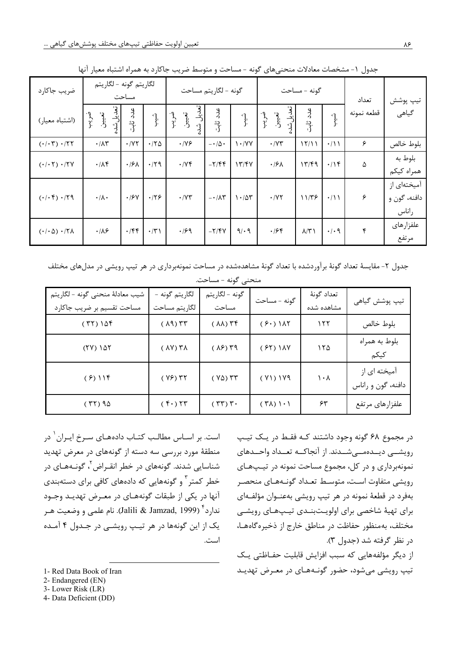| ضريب جاكارد                                     | لگاريتم گونه - لگاريتم  | مساحت                    |                                                          |                                    | گونه - لگاريتم مساحت                         |                                                                  |                                     | گونه - مساحت       |                                                          | تعداد      | تيپ پوشش                             |
|-------------------------------------------------|-------------------------|--------------------------|----------------------------------------------------------|------------------------------------|----------------------------------------------|------------------------------------------------------------------|-------------------------------------|--------------------|----------------------------------------------------------|------------|--------------------------------------|
| (اشتباه معيار)                                  | تعديل شد<br>تعييل.<br>ن | عدد ثابت                 | $\left\{\begin{matrix} 1 \\ 1 \\ 2 \end{matrix}\right\}$ | تعديل شد<br>تعيين<br>$\frac{1}{3}$ | عدد ثابت                                     | $\begin{matrix} \begin{matrix} 1 \\ 2 \end{matrix} \end{matrix}$ | مديل شده<br>تو<br>زار<br>ەربىر<br>ك | عدد ثابت           | $\left\{\begin{matrix} 1 \\ 1 \\ 2 \end{matrix}\right\}$ | قطعه نمونه | گیاهی                                |
| $(\cdot/\cdot 7) \cdot$ /٢٢                     | $\cdot/\lambda\tau$     | $\cdot$ / $\vee\tau$     | .70                                                      | $\cdot$ /YF                        | $-\cdot/\Delta$ .                            | $\cdot$ /YY                                                      | $\cdot$ / $\gamma$ ۳                | 17/11              | $\cdot/$                                                 | ۶          | بلوط خالص                            |
| (·/·7)·/7V                                      | $\cdot/\Lambda f$       | $\cdot$ /۶۸              | $\cdot$ /٢٩                                              | $\cdot$ /YF                        | $-\mathbf{Y}/\mathbf{F}$                     | 1777                                                             | $\cdot$ /۶ $\wedge$                 | 17/F9              | .19                                                      | ۵          | بلوط به<br>همراه كيكم                |
| $(·/·)$ $·/79$                                  | $\cdot/\lambda \cdot$   | $\cdot$ / $\mathcal{F}V$ | .179                                                     | $\boldsymbol{\cdot}$ /<br>Y٣       | $-\mathop{\bullet}/\Lambda\mathop{\Upsilon}$ | $1 - \Delta r$                                                   | $\cdot$ /Y٢                         | $11/T$ ۶           | $\cdot/11$                                               | ۶          | آمیختهای از<br>دافنه، گون و<br>راناس |
| $(\cdot/\cdot \Delta) \cdot / \Upsilon \Lambda$ | $\cdot/\lambda$ ۶       | $\cdot$ /۴۴              | $\cdot/\tau$                                             | $\cdot$ /۶۹                        | $-\nabla/\nabla V$                           | 9/19                                                             | .799                                | $\lambda/\Upsilon$ | $\cdot$ / $\cdot$ 9                                      | ۴          | علفزارهاى<br>مرتفع                   |

جدول ١- مشخصات معادلات منحنىهاى گونه - مساحت و متوسط ضريب جاكارد به همراه اشتباه معيار آنها

جدول ۲- مقایسهٔ تعداد گونهٔ برآوردشده با تعداد گونهٔ مشاهدهشده در مساحت نمونهبرداری در هر تیپ رویشی در مدل های مختلف منحني گونه - مساحت.

| شيب معادلهٔ منحنى گونه - لگاريتم<br>مساحت تقسیم بر ضریب جاکارد | لگاريتم گونه -<br>لگاريتم مساحت  | گونه – لگاريتم<br>مساحت         | گونه - مساحت                             | تعداد گونهٔ<br>مشاهده شده | تيپ پوشش گياهي                     |
|----------------------------------------------------------------|----------------------------------|---------------------------------|------------------------------------------|---------------------------|------------------------------------|
| (57)105                                                        | $(\lambda 9)$ $\tau \tau$        | $(\Lambda\Lambda)$ $\Upsilon$ ۴ | $(5.1)$ 115                              | 155                       | بلوط خالص                          |
| $(50)$ 185                                                     | $(\Lambda V)$ $\Upsilon \Lambda$ | $(\lambda)$ $\uparrow$ 9        | $(55)$ $14V$                             | ۱۲۵                       | بلوط به همراه<br>كيكم              |
| $(5)$ $115$                                                    | $(YF)$ $YY$                      | $(Y\Delta)$ $YY$                | $( Y \setminus Y \setminus Y)$           | ۱۰۸                       | آمیخته ای از<br>دافنه، گون و راناس |
| (55)                                                           | (5.7)                            | $(\tau\tau)\tau$ .              | $(7\lambda)$ $\lambda$ $\cdot$ $\lambda$ | ۶۳                        | علفزارهاي مرتفع                    |

است. بر اسـاس مطالـب كتـاب دادههـای سـرخ ايـران` در منطقهٔ مورد بررسی سه دسته از گونههای در معرض تهدید شناسایی شدند. گونههای در خطر انقـراض ٌ، گونـههـای در خطر کمتر <sup>۲</sup> و گونههایی که دادههای کافی برای دستهبندی آنها در یکی از طبقات گونههـای در معـرض تهدیـد وجـود ندارد<sup>۴</sup> (Jalili & Jamzad, 1999). نام علمی و وضعیت هـر یک از این گونهها در هر تیپ رویشـی در جـدول ۴ آمـده است.

1- Red Data Book of Iran

- 2- Endangered (EN)
- 3- Lower Risk (LR)
- 4- Data Deficient (DD)

در مجموع ۶۸ گونه وجود داشتند کـه فقـط در يـک تيـپ رویشــی دیــدەمــی٬شــدند. از آنجاکــه تعــداد واحــدهای نمونهبرداری و در کل، مجموع مساحت نمونه در تیپهای رويشي متفاوت است، متوسط تعـداد گونـههـاي منحصـر بهفرد در قطعهٔ نمونه در هر تیپ رویشی بهعنــوان مؤلفــهای برای تهیهٔ شاخصی برای اولویـتبنـدی تیـپهـای رویشـی مختلف، بهمنظور حفاظت در مناطق خارج از ذخیره گاههـا، د, نظر گرفته شد (جدول ٣). از دیگر مؤلفههایی که سبب افزایش قابلیت حفـاظتی یـک تیپ رویشی می شود، حضور گونـههـای در معـرض تهدیـد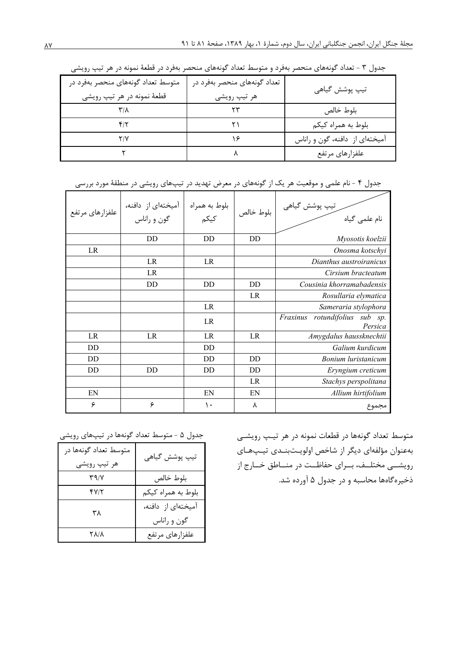| متوسط تعداد گونههای منحصر بهفرد در<br>قطعهٔ نمونه در هر تیپ رویشی | تعداد گونههای منحصر بهفرد در<br>هر تیپ رویشی | تيپ پوشش گياهي                 |
|-------------------------------------------------------------------|----------------------------------------------|--------------------------------|
|                                                                   |                                              | بلوط خالص                      |
|                                                                   |                                              | بلوط به همراه کیکم             |
|                                                                   |                                              | آمیختهای از دافنه، گون و راناس |
|                                                                   |                                              | علفزارهاي مرتفع                |

جدول ۳ - تعداد گونههای منحصر بهفرد و متوسط تعداد گونههای منحصر بهفرد در قطعهٔ نمونه در هر تیپ رویشی

| علفزارهاي مرتفع | آمیختهای از  دافنه،<br>گون و راناس | بلوط به همراه<br>کیکم | بلوط خالص | تيپ پوشش گياهي<br>ڪر<br>نام علمی گیاه           |
|-----------------|------------------------------------|-----------------------|-----------|-------------------------------------------------|
|                 | DD                                 | DD                    | DD.       | Myosotis koelzii                                |
| LR              |                                    |                       |           | Onosma kotschyi                                 |
|                 | LR                                 | LR                    |           | Dianthus austroiranicus                         |
|                 | LR                                 |                       |           | Cirsium bracteatum                              |
|                 | DD                                 | DD                    | DD        | Cousinia khorramabadensis                       |
|                 |                                    |                       | LR        | Rosullaria elymatica                            |
|                 |                                    | LR                    |           | Sameraria stylophora                            |
|                 |                                    | LR                    |           | Fraxinus<br>rotundifolius<br>sub sp.<br>Persica |
| LR.             | LR                                 | LR                    | LR        | Amygdalus haussknechtii                         |
| DD.             |                                    | DD                    |           | Galium kurdicum                                 |
| DD.             |                                    | DD                    | DD        | Bonium luristanicum                             |
| DD              | DD                                 | DD                    | DD        | Eryngium creticum                               |
|                 |                                    |                       | LR        | Stachys perspolitana                            |
| EN              |                                    | EN                    | EN        | Allium hirtifolium                              |
| ۶               | ۶                                  | ۱۰                    | ٨         | مجموع                                           |

جدول ۴ - نام علمی و موقعیت هر یک از گونههای در معرض تهدید در تیپهای رویشی در منطقهٔ مورد بررسی

متوسط تعداد گونهها در قطعات نمونه در هر تیپ رویشـی بەعنوان مؤلفەاي ديگر از شاخص اولويـتبنـدى تيـپھـاي رویشــی مختلــف، بــرای حفاظــت در منــاطق خــارج از ذخیرهگاهها محاسبه و در جدول ۵ آورده شد.

جدول ۵ - متوسط تعداد گونهها در تیپهای رویشی

| متوسط تعداد گونهها در<br>هر تيپ رويشي | تيپ پوشش گياهي                    |
|---------------------------------------|-----------------------------------|
| $\Upsilon \eta / \Upsilon$            | بلوط خالص                         |
| 4712                                  | بلوط به همراه کیکم                |
| ٣٨                                    | آمیختهای از دافنه،<br>گون و راناس |
| 8 X / X                               | علفزارهاي مرتفع                   |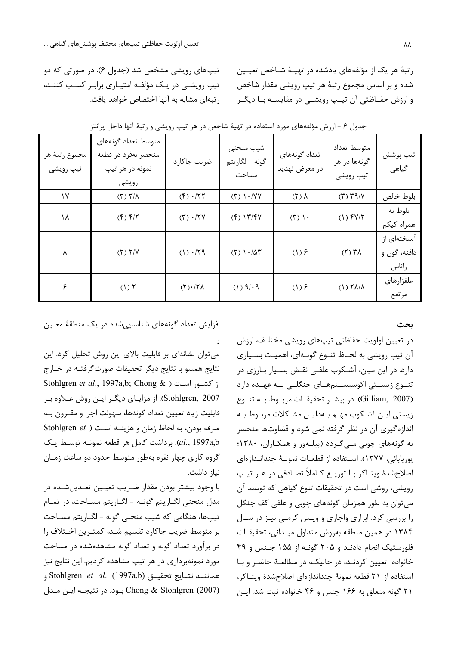رتبهٔ هر یک از مؤلفههای یادشده در تهیـهٔ شـاخص تعیـین شده و بر اساس مجموع رتبهٔ هر تیپ رویشی مقدار شاخص و ارزش حفــاظتی آن تیــب رویشــی در مقایســه بــا دیگــر

تیپهای رویشی مشخص شد (جدول ۶). در صورتی که دو تیپ رویشـی در یـک مؤلفـه امتیـازی برابـر کسـب کننـد، , تبهای مشابه به آنها اختصاص خواهد یافت.

|                             |                                                                        | ت <i>د</i> بیپردی صدر ب  |                                      |                                |                                             |                                      |
|-----------------------------|------------------------------------------------------------------------|--------------------------|--------------------------------------|--------------------------------|---------------------------------------------|--------------------------------------|
| مجموع رتبهٔ هر<br>تيپ رويشي | متوسط تعداد گونههای<br>منحصر بهفرد در قطعه<br>نمونه در هر تيپ<br>رويشى | ضريب جاكارد              | شيب منحنى<br>گونه – لگاريتم<br>مساحت | تعداد گونههای<br>در معرض تهديد | متوسط تعداد<br>گونهها در هر<br>تيپ رويشى    | تيپ پوشش<br>گیاهی                    |
| $\gamma$                    | $(\uparrow)$ $\uparrow/\uplambda$                                      | $(f) \cdot  Y $          | $(Y)$ $\cdot$ /YY                    | $(5)$ $\lambda$                | $(T)$ $T$ 9/ $Y$                            | بلوط خالص                            |
| ۱۸                          | $(f)$ $f/7$                                                            | $(T) \cdot / \Upsilon V$ | $(f)$ $\frac{1}{f}$                  | (T)                            | $(1)$ $fV/T$                                | بلوط به<br>همراه كيكم                |
| λ                           | $(Y)$ $Y/Y$                                                            | $(1) \cdot  Y9 $         | $(1)$ $\cdot$ / $\Delta$ r           | $(1)$ $\epsilon$               | $(Y)$ $\uparrow \uparrow \uparrow \uparrow$ | آمیختهای از<br>دافنه، گون و<br>راناس |
| ۶                           | (1) 7                                                                  | $(Y) \cdot  Y $          | $(1)$ $9/·9$                         | $(1)$ $\epsilon$               | $(1)$ $\forall \lambda/\lambda$             | علفزارهاى<br>مرتفع                   |

| بدول ۶ - ارزش مؤلفههای مورد استفاده در تهیهٔ شاخص در هر تیپ رویشی و رتبهٔ آنها داخل پرانت |  |  |  |  |  |  |  |  |  |  |  |  |
|-------------------------------------------------------------------------------------------|--|--|--|--|--|--|--|--|--|--|--|--|
|-------------------------------------------------------------------------------------------|--|--|--|--|--|--|--|--|--|--|--|--|

ىحث

در تعيين اولويت حفاظتي تيپهاي رويشي مختلـف، ارزش آن تيپ رويشي به لحـاظ تنـوع گونـهاي، اهميـت بسـياري دارد. در این میان، آشکوب علفـی نقـش بسـیار بـارزی در تنــوع زیســتی اکوسیســتمهــای جنگلــی بــه عهــده دارد (Gilliam, 2007). در بیشـر تحقیقـات مربـوط بـه تنـوع زیستی ایـن آشـکوب مهـم بـهدلیـل مشـکلات مربـوط بـه اندازه گیری آن در نظر گرفته نمی شود و قضاوتها منحصر به گونههای چوبی میگردد (پیلهور و همکاران، ۱۳۸۰؛ يوربابائي، ١٣٧٧). اســتفاده از قطعــات نمونــهٔ چندانــداز،اي اصلاحِشدهٔ ویتـاکر بـا توزیـع کـاملاً تصـادفی در هـر تیـپ رویشی، روشی است در تحقیقات تنوع گیاهی که توسط آن مي توان به طور همزمان گونههاي چوبي و علفي كف جنگل را بررسی کرد. ابراری واجاری و ویـس کرمـی نیـز در سـال ۱۳۸۴ در همین منطقه بهروش متداول میـدانی، تحقیقـات فلورستیک انجام دادنـد و ۲۰۵ گونـه از ۱۵۵ جـنس و ۴۹ خانواده تعیین کردنـد، در حالیکـه در مطالعـهٔ حاضـر و بـا استفاده از ٢١ قطعه نمونة چنداندازماي اصلاحشدة ويتاكر، ۲۱ گونه متعلق به ۱۶۶ جنس و ۴۶ خانواده ثبت شد. ایـن

افزایش تعداد گونههای شناسایی شده در یک منطقهٔ معـین  $\mathsf{I},$ 

می توان نشانهای بر قابلیت بالای این روش تحلیل کرد. این نتايج همسو با نتايج ديگر تحقيقات صورتگرفتـه در خـارج از کشور است ( Stohlgren et al., 1997a,b; Chong & Stohlgren, 2007). از مزایـای دیگـر ایـن روش عـلاوه بـر قابلیت زیاد تعیین تعداد گونهها، سهولت اجرا و مقـرون بـه صرفه بودن، به لحاظ زمان و هزينـه اسـت ( Stohlgren et al., 1997a,b). برداشت كامل هر قطعه نمونـه توسـط يـك گروه کاری چهار نفره بهطور متوسط حدود دو ساعت زمـان نياز داشت.

با وجود بيشتر بودن مقدار ضـريب تعيـين تعـديلشـده در مدل منحنی لگـاریتم گونـه - لگـاریتم مسـاحت، در تمـام تیپها، هنگامی که شیب منحنی گونه - لگـاریتم مسـاحت بر متوسط ضريب جاكارد تقسيم شـد، كمتـرين اخـتلاف را در برآورد تعداد گونه و تعداد گونه مشاهدهشده در مساحت مورد نمونهبرداری در هر تیپ مشاهده کردیم. این نتایج نیز هماننــد نتــايج تحقيــق (Stohlgren *et al.* (1997a,b Chong & Stohlgren (2007) بود. در نتيجـه ايـن مـدل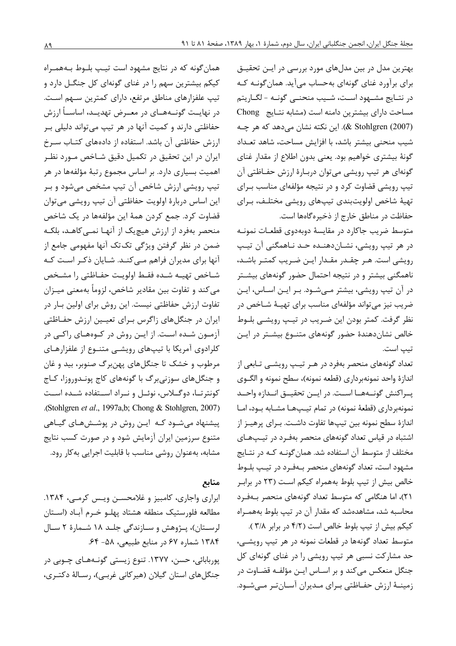بهترین مدل در بین مدلهای مورد بررسی در ایـن تحقیـق برای برآورد غنای گونهای بهحساب می آید. همان گونـه کـه در نتــايج مشــهود اســت، شــيب منحنــي گونــه - لگــاريتم مساحت دارای بیشترین دامنه است (مشابه نتایج Chong (2007) X stohlgren). این نکته نشان می دهد که هر چـه شيب منحنى بيشتر باشد، با افزايش مساحت، شاهد تعـداد گونهٔ بیشتری خواهیم بود. یعنی بدون اطلاع از مقدار غنای گونهای هر تیپ رویشی می توان دربـارهٔ ارزش حفـاظتی آن تیپ رویشی قضاوت کرد و در نتیجه مؤلفهای مناسب بـرای تهيهٔ شاخص اولويتبندي تيپهاي رويشي مختلـف، بـراي حفاظت در مناطق خارج از ذخیرهگاهها است.

متوسط ضریب جاکارد در مقایسهٔ دوبهدوی قطعـات نمونـه در هر تيپ رويشي، نشـان‹هنـده حـد نـاهمگني آن تيـپ رویشی است. هـر چقـدر مقـدار ایـن ضـریب کمتـر باشـد، .<br>ناهمگنی بیشتر و در نتیجه احتمال حضور گونههای بیشــتر در آن تیپ رویشی، بیشتر مے شـود. بـر ایـن اسـاس، ایـن ضریب نیز می تواند مؤلفهای مناسب برای تهیـهٔ شـاخص در نظر گرفت. کمتر بودن این ضریب در تیپ رویشـی بلـوط خالص نشان دهندهٔ حضور گونههای متنوع بیشتر در ایـن تيب است.

تعداد گونههای منحصر بهفرد در هـر تيـپ رويشـي تـابعي از اندازهٔ واحد نمونهبرداری (قطعه نمونه)، سطح نمونه و الگــوی يبراكنش گونسههسا اسبت. در ايبن تحقيسق انسدازه واحسد نمونهبرداري (قطعة نمونه) در تمام تيپها مشـابه بـود، امـا اندازهٔ سطح نمونه بین تیپها تفاوت داشـت. بـرای پرهیـز از اشتباه در قیاس تعداد گونههای منحصر بهفرد در تیپهای مختلف از متوسط آن استفاده شد. همان گونـه كـه در نتـايج مشهود است، تعداد گونههای منحصر بـهفـرد در تیـب بلـوط خالص بیش از تیپ بلوط بههمراه کیکم است (۲۳ در براب ۲۱)، اما هنگامی که متوسط تعداد گونههای منحصر بـهفـرد محاسبه شد، مشاهدهشد که مقدار آن در تیپ بلوط بههمـراه کیکم بیش از تیپ بلوط خالص است (۴/۲ در برابر ۳/۸).

متوسط تعداد گونهها در قطعات نمونه در هر تیپ رویشــی، حد مشارکت نسبی هر تیپ رویشی را در غنای گونهای کل جنگل منعکس میکند و بر اسـاس ايـن مؤلفـه قضـاوت در زمینـهٔ ارزش حفـاظتی بـرای مـدیران آسـانتـر مـیشـود.

همان گونه که در نتایج مشهود است تیپ بلوط بههمراه کیکم بیشترین سهم را در غنای گونهای کل جنگـل دارد و تیپ علفزارهای مناطق مرتفع، دارای کمترین سـهم اسـت. در نهایـت گونــههــای در معــرض تهدیــد، اساســـأ ارزش حفاظتي دارند و كميت آنها در هر تيپ مي تواند دليلي بـر ارزش حفاظتی آن باشد. استفاده از دادههای کتـاب سـرخ ایران در این تحقیق در تکمیل دقیق شـاخص مـورد نظـر اهمیت بسیاری دارد. بر اساس مجموع رتبهٔ مؤلفهها در هر تیپ رویشی ارزش شاخص آن تیپ مشخص می شود و ب این اساس دربارهٔ اولویت حفاظتی آن تیپ رویشی میتوان قضاوت كرد. جمع كردن همهٔ اين مؤلفهها در يک شاخص منحصر بهفرد از ارزش هیچیک از آنهـا نمـی کاهـد، بلکـه ضمن در نظر گرفتن ویژگی تک تک آنها مفهومی جامع از آنها برای مدیران فراهم مـیکنـد. شـایان ذکـر اسـت کـه شـاخص تهيـه شـده فقـط اولويـت حفـاظتى را مشـخص مي كند و تفاوت بين مقادير شاخص، لزوماً بهمعنى ميــزان تفاوت ارزش حفاظتی نیست. این روش برای اولین بـار در ایران در جنگلهای زاگرس بـرای تعیـین ارزش حفـاظتی آزمون شـده اسـت. از ايـن روش در كـوههـاي راكـي در کلرادوی آمریکا با تیپهای رویشـی متنـوع از علفزارهـای مرطوب و خشک تا جنگلهای پهنبرگ صنوبر، بید و غان و جنگلهای سوزنیبرگ با گونههای کاج پونـدوروزا، کـاج كونترتيا، دوگيلاس، نوئيل و نيراد استفاده شيده است .(Stohlgren et al., 1997a,b; Chong & Stohlgren, 2007). ییشنهاد می شـود کـه ایـن روش در پوشـش۵مـای گیـاهی متنوع سرزمین ایران آزمایش شود و در صورت کسب نتایج مشابه، بهعنوان روشي مناسب با قابليت اجرايي بهكار رود.

## منابع

ابراری واجاری، کامبیز و غلامحسـن ویـس کرمـی، ۱۳۸۴. مطالعه فلورستيك منطقه هشتاد پهلـو خـرم آبـاد (اسـتان لرستان)، پـژوهش و سـازندگی جلـد ۱۸ شـمارهٔ ۲ سـال ۱۳۸۴ شماره ۶۷ در منابع طبیعی، ۵۸- ۶۴. پوربابائی، حسن، ۱۳۷۷. تنوع زیستی گونـههـای چـوبی در جنگل های استان گیلان (هیرکانی غربـی)، رسـالهٔ دکتـری،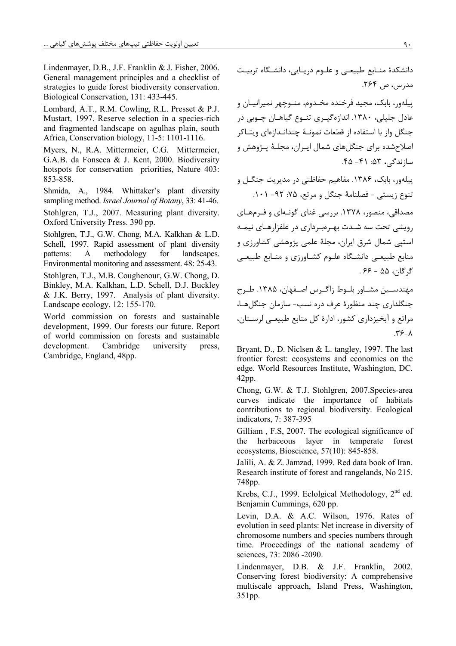Lindenmayer, D.B., J.F. Franklin & J. Fisher, 2006. General management principles and a checklist of strategies to guide forest biodiversity conservation. Biological Conservation, 131: 433-445.

Lombard, A.T., R.M. Cowling, R.L. Presset & P.J. Mustart, 1997. Reserve selection in a species-rich and fragmented landscape on agulhas plain, south Africa, Conservation biology, 11-5: 1101-1116.

Myers, N., R.A. Mittermeier, C.G. Mittermeier, G.A.B. da Fonseca & J. Kent, 2000. Biodiversity hotspots for conservation priorities, Nature 403: 853-858.

Shmida, A., 1984. Whittaker's plant diversity sampling method. Israel Journal of Botany, 33: 41-46.

Stohlgren, T.J., 2007. Measuring plant diversity. Oxford University Press. 390 pp.

Stohlgren, T.J., G.W. Chong, M.A. Kalkhan & L.D. Schell, 1997. Rapid assessment of plant diversity patterns:  $\mathbf{A}$ methodology for landscapes. Environmental monitoring and assessment. 48: 25-43.

Stohlgren, T.J., M.B. Coughenour, G.W. Chong, D. Binkley, M.A. Kalkhan, L.D. Schell, D.J. Buckley & J.K. Berry, 1997. Analysis of plant diversity. Landscape ecology, 12: 155-170.

World commission on forests and sustainable development, 1999. Our forests our future. Report of world commission on forests and sustainable development. Cambridge university press. Cambridge, England, 48pp.

دانشکدهٔ منابع طبیعی و علوم دریایی، دانشگاه تربیت مدرس، ص ۲۶۴. ييلهور، بابک، مجيد فرخنده مخـدوم، منـوچهر نميرانيـان و عادل جليلي، ١٣٨٠. اندازهگيري تنبوع گياهـان چـوبي در جنگل واز با استفاده از قطعات نمونــهٔ چندانــدازوای ویتــاکر اصلاحشده برای جنگلهای شمال ایـران، مجلـهٔ پـژوهش و سازندگی، ۵۳: ۴۱- ۴۵. ییلهور، بابک، ۱۳۸۶. مفاهیم حفاظتی در مدیریت جنگـل و تنوع زيستي - فصلنامهٔ جنگل و مرتع، ۷۵: ۹۲- ۱۰۱.

مصداقی، منصور، ۱۳۷۸. بررسی غنای گونـهای و فـرمهـای رویشی تحت سه شـدت بهـروبـرداری در علفزارهـای نیمـه استیی شمال شرق ایران، مجلهٔ علمی پژوهشی کشاورزی و منابع طبیعے دانشگاہ علـوم کشـاورزی و منـابع طبیعے گ گان، ۵۵ - ۶۶.

مهندســين مشــاور بلــوط زاگــرس اصــفهان، ۱۳۸۵. طــرح جنگلداری چند منظورهٔ عرف دره نسب- سازمان جنگلهـا، مراتع و آبخیزداری کشور، ادارهٔ کل منابع طبیعے لرسـتان،  $\mathbf{r}$   $\epsilon$  -  $\lambda$ 

Bryant, D., D. Niclsen & L. tangley, 1997. The last frontier forest: ecosystems and economies on the edge. World Resources Institute, Washington, DC.  $42$ pp.

Chong, G.W. & T.J. Stohlgren, 2007. Species-area curves indicate the importance of habitats contributions to regional biodiversity. Ecological indicators, 7: 387-395

Gilliam, F.S, 2007. The ecological significance of herbaceous layer in temperate the forest ecosystems, Bioscience, 57(10): 845-858.

Jalili, A. & Z. Jamzad, 1999. Red data book of Iran. Research institute of forest and rangelands, No 215. 748pp.

Krebs, C.J., 1999. Eclolgical Methodology, 2<sup>nd</sup> ed. Benjamin Cummings, 620 pp.

Levin, D.A. & A.C. Wilson, 1976. Rates of evolution in seed plants: Net increase in diversity of chromosome numbers and species numbers through time. Proceedings of the national academy of sciences, 73: 2086 -2090.

Lindenmayer, D.B. & J.F. Franklin, 2002. Conserving forest biodiversity: A comprehensive multiscale approach, Island Press, Washington, 351pp.